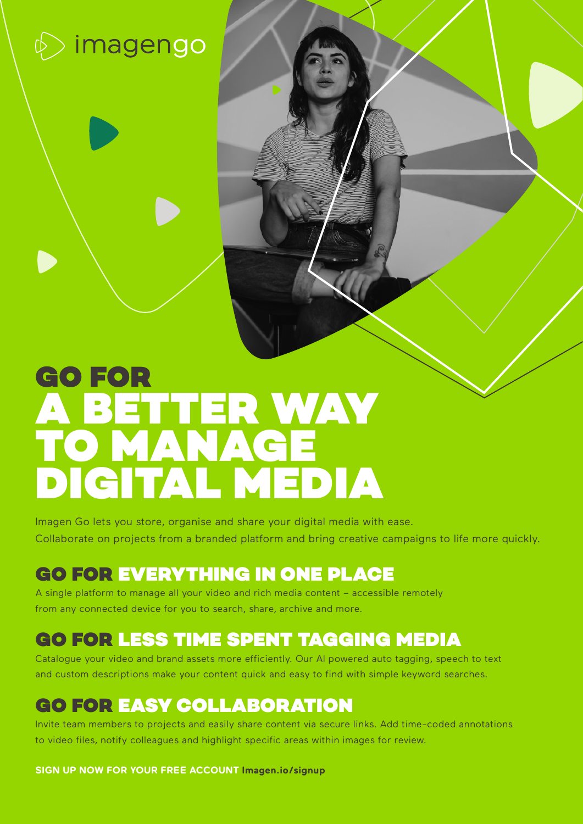# $\phi$  imagengo

# GO FOR A BETTER WAY TO MANAGE DIGITAL MEDIA

Imagen Go lets you store, organise and share your digital media with ease. Collaborate on projects from a branded platform and bring creative campaigns to life more quickly.

## GO FOR EVERYTHING IN ONE PLACE

A single platform to manage all your video and rich media content – accessible remotely from any connected device for you to search, share, archive and more.

### GO FOR LESS TIME SPENT TAGGING MEDIA

Catalogue your video and brand assets more efficiently. Our AI powered auto tagging, speech to text and custom descriptions make your content quick and easy to find with simple keyword searches.

### GO FOR EASY COLLABORATION

Invite team members to projects and easily share content via secure links. Add time-coded annotations to video files, notify colleagues and highlight specific areas within images for review.

**SIGN UP NOW FOR YOUR FREE ACCOUNT [Imagen.io/s](http://www.Imagen.io/signup)ignup**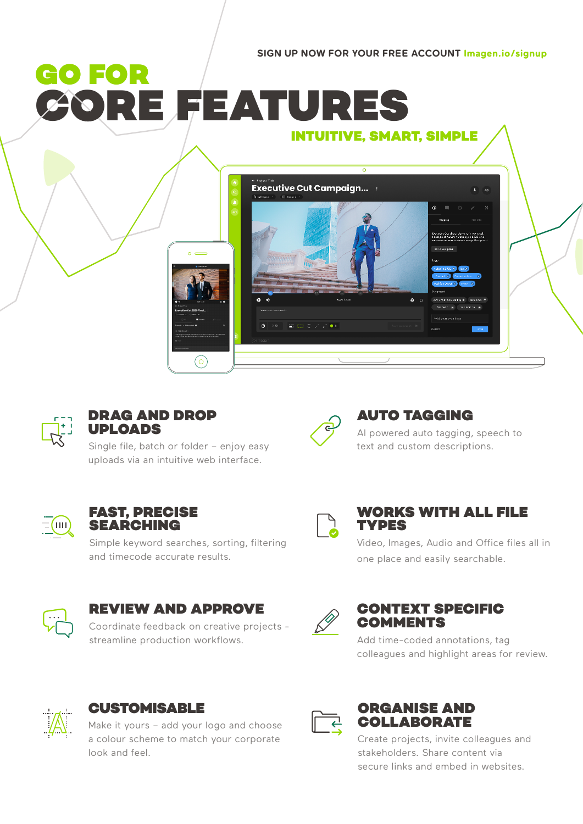**SIGN UP NOW FOR YOUR FREE ACCOUNT [Imagen.io/](http://www.Imagen.io/signup)signup**

## GO FOR **CORE FEATURES** INTUITIVE, SMART, SIMPLE





### DRAG AND DROP UPLOADS

Single file, batch or folder – enjoy easy uploads via an intuitive web interface.



### AUTO TAGGING

AI powered auto tagging, speech to text and custom descriptions.



### FAST, PRECISE SEARCHING

Simple keyword searches, sorting, filtering and timecode accurate results.



### REVIEW AND APPROVE

Coordinate feedback on creative projects streamline production workflows.



### WORKS WITH ALL FILE **TYPES**

Video, Images, Audio and Office files all in one place and easily searchable.



### CONTEXT SPECIFIC COMMENTS

Add time-coded annotations, tag colleagues and highlight areas for review.



### **CUSTOMISABLE**

Make it yours – add your logo and choose a colour scheme to match your corporate look and feel.



### ORGANISE AND COLLABORATE

Create projects, invite colleagues and stakeholders. Share content via secure links and embed in websites.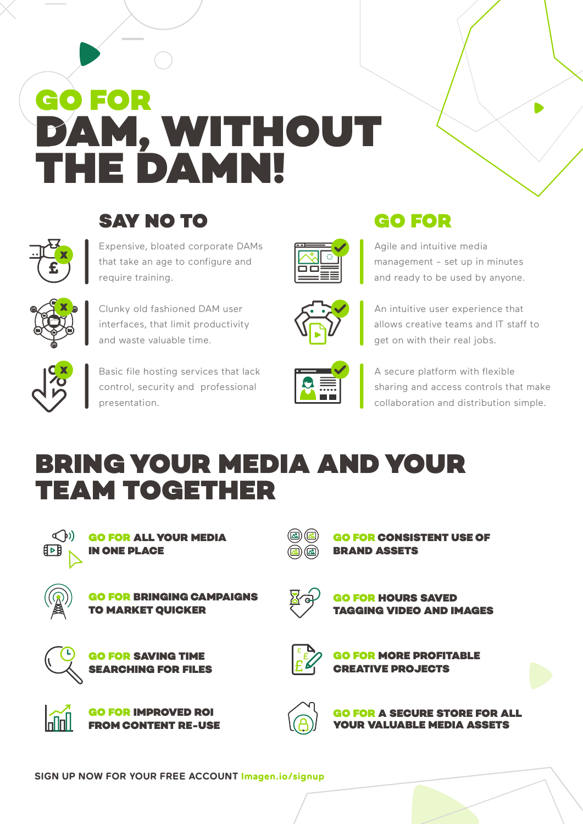# GO FOR DAM, WITHOUT THE DAMN!



## SAV NO TO

Expensive, bloated corporate DAMs that take an age to configure and require training.



Clunky old fashioned DAM user interfaces, that limit productivity and waste valuable time.



Basic file hosting services that lack control, security and professional presentation.





Agile and intuitive media management - set up in minutes and ready to be used by anyone.



An intuitive user experience that allows creative teams and IT staff to get on with their real jobs.



A secure platform with flexible sharing and access controls that make collaboration and distribution simple.

## BRING YOUR MEDIA AND YOUR TEAM TOGETHER



GO FOR ALL YOUR MEDIA IN ONE PLACE



**BRINGING CAMPAIGNS** TO MARKET QUICKER



**GO FOR HOURS SAVED** TAGGING VIDEO AND IMAGES

**GO FOR CONSISTENT USE OF** 

BRAND ASSETS



GO FOR MORE PROFITABLE CREATIVE PROJECTS



GO FOR IMPROVED ROI FROM CONTENT RE-USE

GO FOR SAVING TIME SEARCHING FOR FILES



FOR A SECURE STORE FOR AL **VALUABLE MEDIA ASSETS**